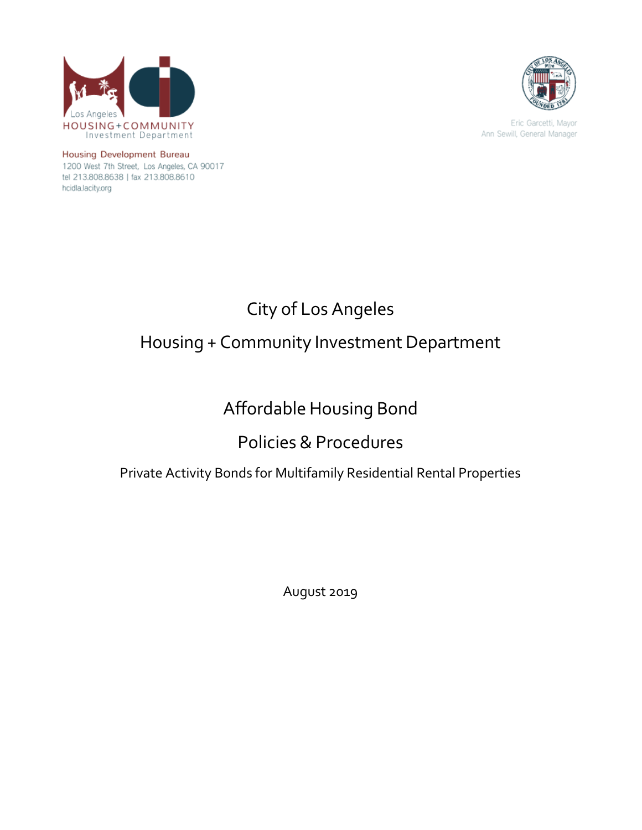



Eric Garcetti, Mayor Ann Sewill, General Manager

Housing Development Bureau 1200 West 7th Street, Los Angeles, CA 90017 tel 213.808.8638 | fax 213.808.8610 hcidla.lacity.org

# City of Los Angeles Housing + Community Investment Department

# Affordable Housing Bond

# Policies & Procedures

# Private Activity Bonds for Multifamily Residential Rental Properties

August 2019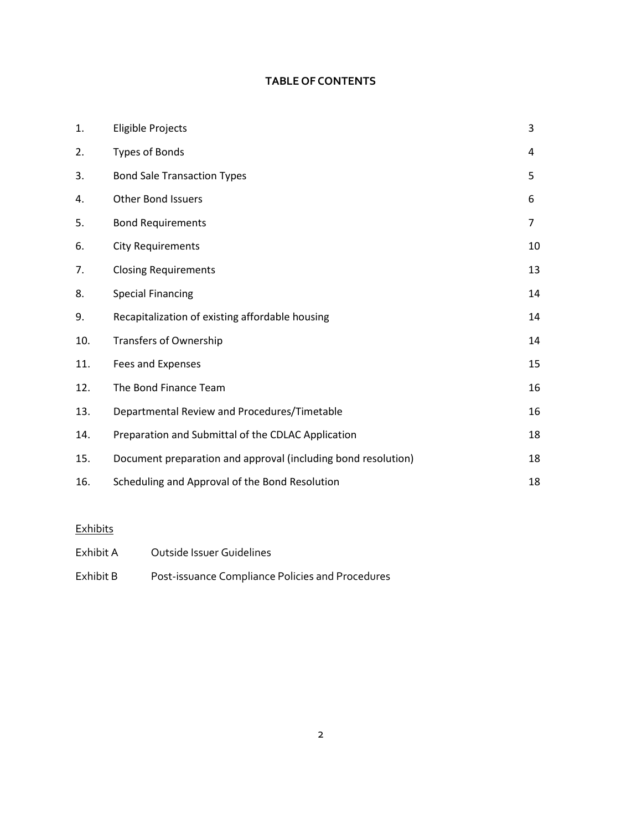# **TABLE OF CONTENTS**

| 1.  | <b>Eligible Projects</b>                                      | 3              |
|-----|---------------------------------------------------------------|----------------|
| 2.  | Types of Bonds                                                | 4              |
| 3.  | <b>Bond Sale Transaction Types</b>                            | 5              |
| 4.  | <b>Other Bond Issuers</b>                                     | 6              |
| 5.  | <b>Bond Requirements</b>                                      | $\overline{7}$ |
| 6.  | <b>City Requirements</b>                                      | 10             |
| 7.  | <b>Closing Requirements</b>                                   | 13             |
| 8.  | <b>Special Financing</b>                                      | 14             |
| 9.  | Recapitalization of existing affordable housing               | 14             |
| 10. | <b>Transfers of Ownership</b>                                 | 14             |
| 11. | Fees and Expenses                                             | 15             |
| 12. | The Bond Finance Team                                         | 16             |
| 13. | Departmental Review and Procedures/Timetable                  | 16             |
| 14. | Preparation and Submittal of the CDLAC Application            | 18             |
| 15. | Document preparation and approval (including bond resolution) | 18             |
| 16. | Scheduling and Approval of the Bond Resolution                | 18             |

# **Exhibits**

| Exhibit A | Outside Issuer Guidelines                        |
|-----------|--------------------------------------------------|
| Exhibit B | Post-issuance Compliance Policies and Procedures |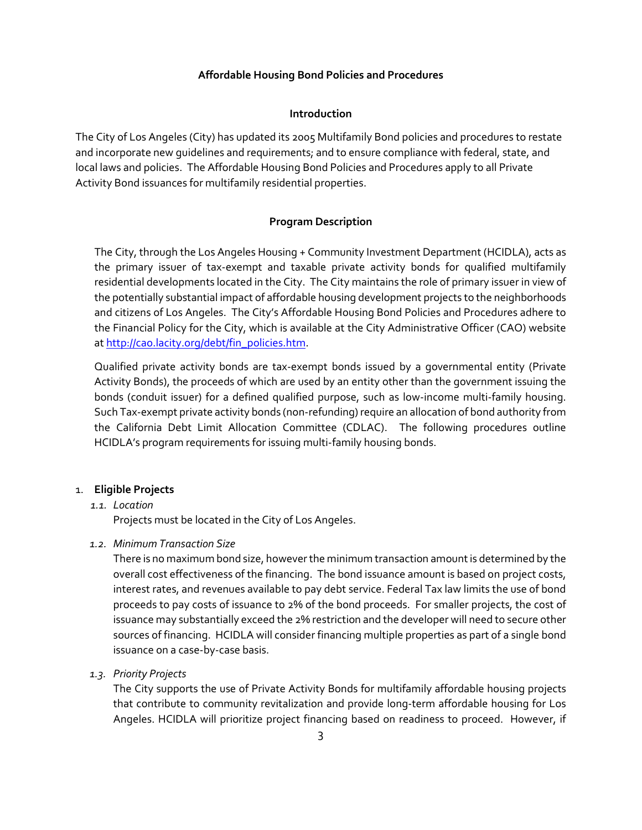#### **Affordable Housing Bond Policies and Procedures**

#### **Introduction**

The City of Los Angeles (City) has updated its 2005 Multifamily Bond policies and procedures to restate and incorporate new guidelines and requirements; and to ensure compliance with federal, state, and local laws and policies. The Affordable Housing Bond Policies and Procedures apply to all Private Activity Bond issuances for multifamily residential properties.

#### **Program Description**

The City, through the Los Angeles Housing + Community Investment Department (HCIDLA), acts as the primary issuer of tax-exempt and taxable private activity bonds for qualified multifamily residential developments located in the City. The City maintains the role of primary issuer in view of the potentially substantial impact of affordable housing development projects to the neighborhoods and citizens of Los Angeles. The City's Affordable Housing Bond Policies and Procedures adhere to the Financial Policy for the City, which is available at the City Administrative Officer (CAO) website a[t http://cao.lacity.org/debt/fin\\_policies.htm.](http://cao.lacity.org/debt/fin_policies.htm)

Qualified private activity bonds are tax-exempt bonds issued by a governmental entity (Private Activity Bonds), the proceeds of which are used by an entity other than the government issuing the bonds (conduit issuer) for a defined qualified purpose, such as low-income multi-family housing. Such Tax-exempt private activity bonds (non-refunding) require an allocation of bond authority from the California Debt Limit Allocation Committee (CDLAC). The following procedures outline HCIDLA's program requirements for issuing multi-family housing bonds.

#### 1. **Eligible Projects**

#### *1.1. Location*

Projects must be located in the City of Los Angeles.

#### *1.2. Minimum Transaction Size*

There is no maximum bond size, however the minimum transaction amount is determined by the overall cost effectiveness of the financing. The bond issuance amount is based on project costs, interest rates, and revenues available to pay debt service. Federal Tax law limits the use of bond proceeds to pay costs of issuance to 2% of the bond proceeds. For smaller projects, the cost of issuance may substantially exceed the 2% restriction and the developer will need to secure other sources of financing. HCIDLA will consider financing multiple properties as part of a single bond issuance on a case-by-case basis.

#### *1.3. Priority Projects*

The City supports the use of Private Activity Bonds for multifamily affordable housing projects that contribute to community revitalization and provide long-term affordable housing for Los Angeles. HCIDLA will prioritize project financing based on readiness to proceed. However, if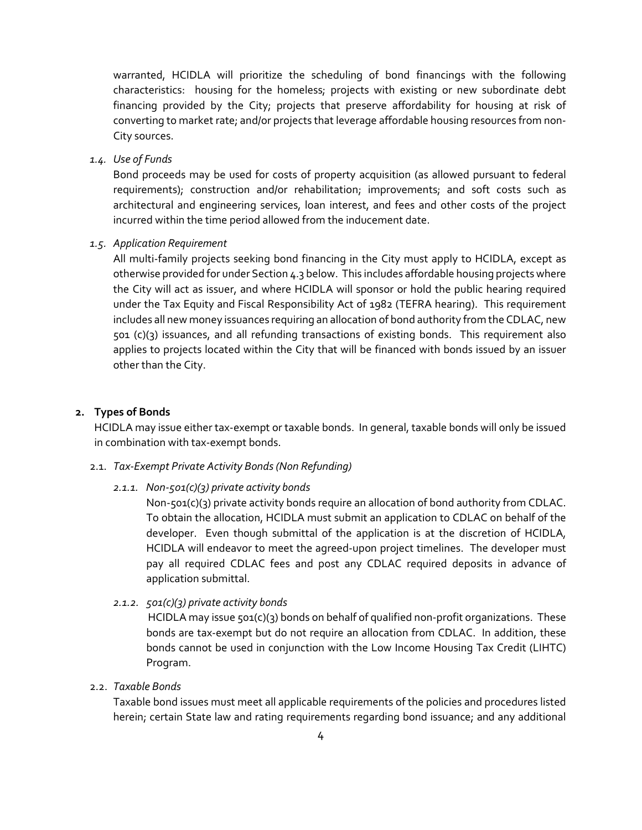warranted, HCIDLA will prioritize the scheduling of bond financings with the following characteristics: housing for the homeless; projects with existing or new subordinate debt financing provided by the City; projects that preserve affordability for housing at risk of converting to market rate; and/or projects that leverage affordable housing resources from non-City sources.

*1.4. Use of Funds* 

Bond proceeds may be used for costs of property acquisition (as allowed pursuant to federal requirements); construction and/or rehabilitation; improvements; and soft costs such as architectural and engineering services, loan interest, and fees and other costs of the project incurred within the time period allowed from the inducement date.

#### *1.5. Application Requirement*

All multi-family projects seeking bond financing in the City must apply to HCIDLA, except as otherwise provided for under Section 4.3 below. This includes affordable housing projects where the City will act as issuer, and where HCIDLA will sponsor or hold the public hearing required under the Tax Equity and Fiscal Responsibility Act of 1982 (TEFRA hearing). This requirement includes all new money issuances requiring an allocation of bond authority from the CDLAC, new 501 (c)(3) issuances, and all refunding transactions of existing bonds. This requirement also applies to projects located within the City that will be financed with bonds issued by an issuer other than the City.

#### **2. Types of Bonds**

HCIDLA may issue either tax-exempt or taxable bonds. In general, taxable bonds will only be issued in combination with tax-exempt bonds.

#### 2.1. *Tax-Exempt Private Activity Bonds (Non Refunding)*

#### *2.1.1. Non-501(c)(3) private activity bonds*

Non-501(c)(3) private activity bonds require an allocation of bond authority from CDLAC. To obtain the allocation, HCIDLA must submit an application to CDLAC on behalf of the developer. Even though submittal of the application is at the discretion of HCIDLA, HCIDLA will endeavor to meet the agreed-upon project timelines. The developer must pay all required CDLAC fees and post any CDLAC required deposits in advance of application submittal.

#### *2.1.2. 501(c)(3) private activity bonds*

HCIDLA may issue  $501(c)(3)$  bonds on behalf of qualified non-profit organizations. These bonds are tax-exempt but do not require an allocation from CDLAC. In addition, these bonds cannot be used in conjunction with the Low Income Housing Tax Credit (LIHTC) Program.

#### 2.2. *Taxable Bonds*

Taxable bond issues must meet all applicable requirements of the policies and procedures listed herein; certain State law and rating requirements regarding bond issuance; and any additional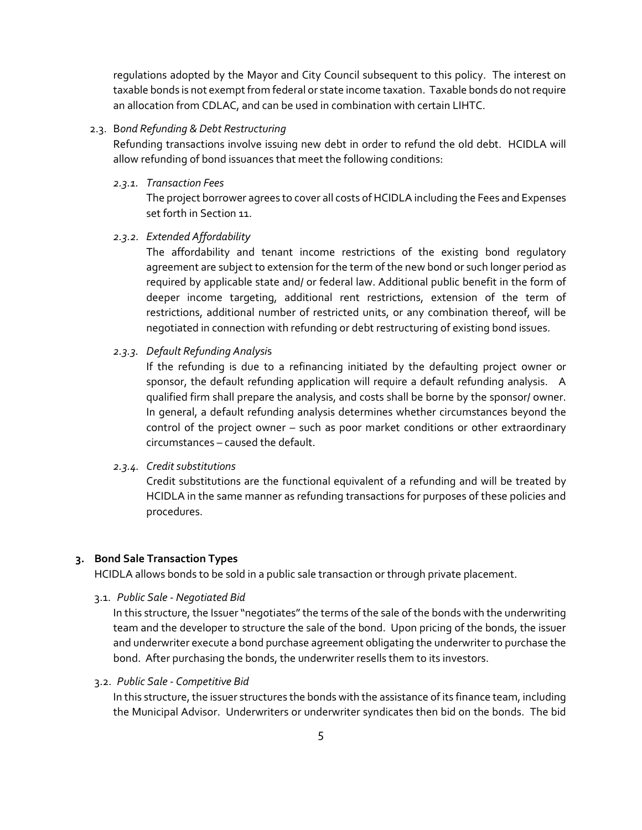regulations adopted by the Mayor and City Council subsequent to this policy. The interest on taxable bonds is not exempt from federal or state income taxation. Taxable bonds do not require an allocation from CDLAC, and can be used in combination with certain LIHTC.

## 2.3. B*ond Refunding & Debt Restructuring*

Refunding transactions involve issuing new debt in order to refund the old debt. HCIDLA will allow refunding of bond issuances that meet the following conditions:

#### *2.3.1. Transaction Fees*

The project borrower agrees to cover all costs of HCIDLA including the Fees and Expenses set forth in Section 11.

# *2.3.2. Extended Affordability*

The affordability and tenant income restrictions of the existing bond regulatory agreement are subject to extension for the term of the new bond or such longer period as required by applicable state and/ or federal law. Additional public benefit in the form of deeper income targeting, additional rent restrictions, extension of the term of restrictions, additional number of restricted units, or any combination thereof, will be negotiated in connection with refunding or debt restructuring of existing bond issues.

#### *2.3.3. Default Refunding Analysi*s

If the refunding is due to a refinancing initiated by the defaulting project owner or sponsor, the default refunding application will require a default refunding analysis. A qualified firm shall prepare the analysis, and costs shall be borne by the sponsor/ owner. In general, a default refunding analysis determines whether circumstances beyond the control of the project owner – such as poor market conditions or other extraordinary circumstances – caused the default.

#### *2.3.4. Credit substitutions*

Credit substitutions are the functional equivalent of a refunding and will be treated by HCIDLA in the same manner as refunding transactions for purposes of these policies and procedures.

#### **3. Bond Sale Transaction Types**

HCIDLA allows bonds to be sold in a public sale transaction or through private placement.

3.1. *Public Sale - Negotiated Bid*

In this structure, the Issuer "negotiates" the terms of the sale of the bonds with the underwriting team and the developer to structure the sale of the bond. Upon pricing of the bonds, the issuer and underwriter execute a bond purchase agreement obligating the underwriter to purchase the bond. After purchasing the bonds, the underwriter resells them to its investors.

#### 3.2. *Public Sale - Competitive Bid*

In this structure, the issuer structures the bonds with the assistance of its finance team, including the Municipal Advisor. Underwriters or underwriter syndicates then bid on the bonds. The bid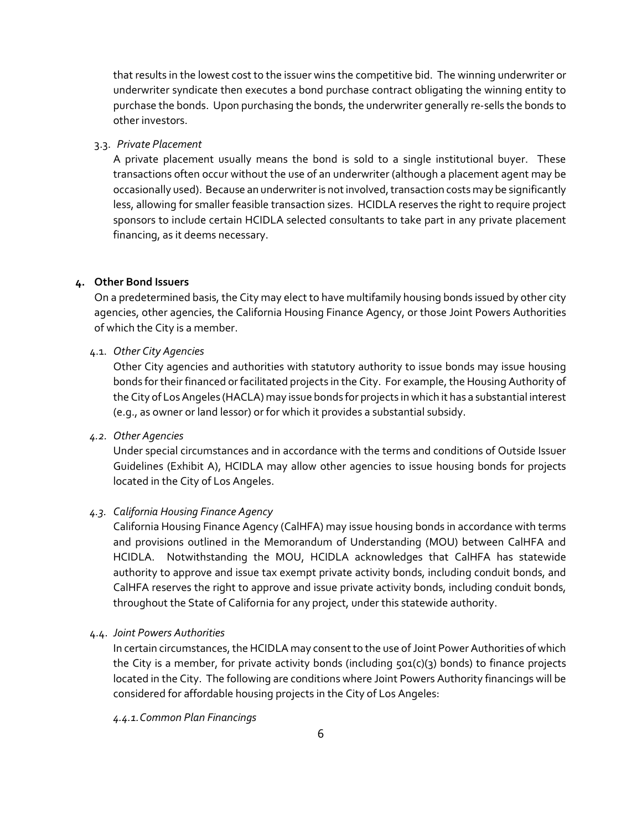that results in the lowest cost to the issuer wins the competitive bid. The winning underwriter or underwriter syndicate then executes a bond purchase contract obligating the winning entity to purchase the bonds. Upon purchasing the bonds, the underwriter generally re-sells the bonds to other investors.

#### 3.3. *Private Placement*

A private placement usually means the bond is sold to a single institutional buyer. These transactions often occur without the use of an underwriter (although a placement agent may be occasionally used). Because an underwriter is not involved, transaction costs may be significantly less, allowing for smaller feasible transaction sizes. HCIDLA reserves the right to require project sponsors to include certain HCIDLA selected consultants to take part in any private placement financing, as it deems necessary.

#### **4. Other Bond Issuers**

On a predetermined basis, the City may elect to have multifamily housing bonds issued by other city agencies, other agencies, the California Housing Finance Agency, or those Joint Powers Authorities of which the City is a member.

#### 4.1. *Other City Agencies*

Other City agencies and authorities with statutory authority to issue bonds may issue housing bonds for their financed or facilitated projects in the City. For example, the Housing Authority of the City of Los Angeles (HACLA) may issue bonds for projects in which it has a substantial interest (e.g., as owner or land lessor) or for which it provides a substantial subsidy.

#### *4.2. Other Agencies*

Under special circumstances and in accordance with the terms and conditions of Outside Issuer Guidelines (Exhibit A), HCIDLA may allow other agencies to issue housing bonds for projects located in the City of Los Angeles.

#### *4.3. California Housing Finance Agency*

California Housing Finance Agency (CalHFA) may issue housing bonds in accordance with terms and provisions outlined in the Memorandum of Understanding (MOU) between CalHFA and HCIDLA. Notwithstanding the MOU, HCIDLA acknowledges that CalHFA has statewide authority to approve and issue tax exempt private activity bonds, including conduit bonds, and CalHFA reserves the right to approve and issue private activity bonds, including conduit bonds, throughout the State of California for any project, under this statewide authority.

#### 4.4. *Joint Powers Authorities*

In certain circumstances, the HCIDLA may consent to the use of Joint Power Authorities of which the City is a member, for private activity bonds (including  $501(c)(3)$  bonds) to finance projects located in the City. The following are conditions where Joint Powers Authority financings will be considered for affordable housing projects in the City of Los Angeles:

*4.4.1.Common Plan Financings*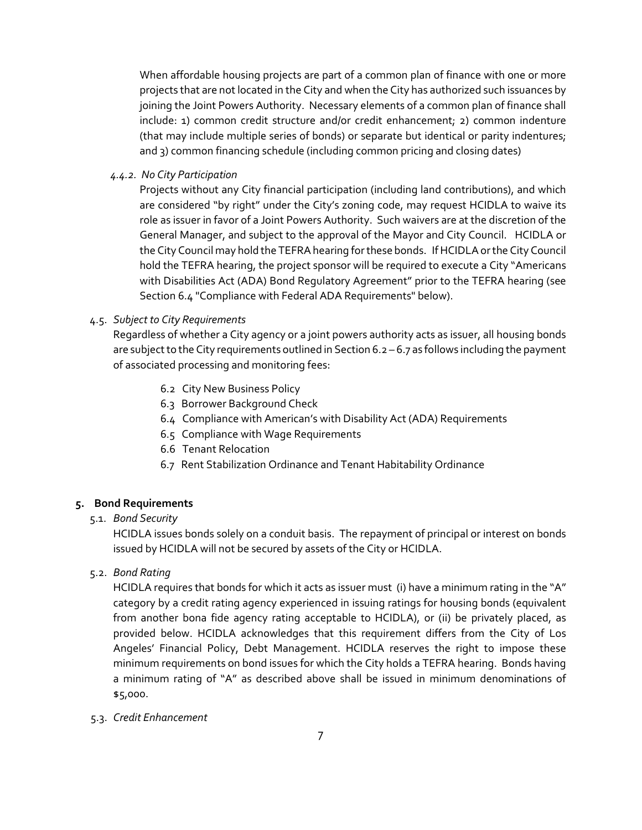When affordable housing projects are part of a common plan of finance with one or more projects that are not located in the City and when the City has authorized such issuances by joining the Joint Powers Authority. Necessary elements of a common plan of finance shall include: 1) common credit structure and/or credit enhancement; 2) common indenture (that may include multiple series of bonds) or separate but identical or parity indentures; and 3) common financing schedule (including common pricing and closing dates)

*4.4.2. No City Participation*

Projects without any City financial participation (including land contributions), and which are considered "by right" under the City's zoning code, may request HCIDLA to waive its role as issuer in favor of a Joint Powers Authority. Such waivers are at the discretion of the General Manager, and subject to the approval of the Mayor and City Council. HCIDLA or the City Council may hold the TEFRA hearing for these bonds. If HCIDLA or the City Council hold the TEFRA hearing, the project sponsor will be required to execute a City "Americans with Disabilities Act (ADA) Bond Regulatory Agreement" prior to the TEFRA hearing (see Section 6.4 "Compliance with Federal ADA Requirements" below).

#### 4.5. *Subject to City Requirements*

Regardless of whether a City agency or a joint powers authority acts as issuer, all housing bonds are subject to the City requirements outlined in Section 6.2 – 6.7 as follows including the payment of associated processing and monitoring fees:

- 6.2 City New Business Policy
- 6.3 Borrower Background Check
- 6.4 Compliance with American's with Disability Act (ADA) Requirements
- 6.5 Compliance with Wage Requirements
- 6.6 Tenant Relocation
- 6.7 Rent Stabilization Ordinance and Tenant Habitability Ordinance

#### **5. Bond Requirements**

#### 5.1. *Bond Security*

HCIDLA issues bonds solely on a conduit basis. The repayment of principal or interest on bonds issued by HCIDLA will not be secured by assets of the City or HCIDLA.

5.2. *Bond Rating* 

HCIDLA requires that bonds for which it acts as issuer must (i) have a minimum rating in the "A" category by a credit rating agency experienced in issuing ratings for housing bonds (equivalent from another bona fide agency rating acceptable to HCIDLA), or (ii) be privately placed, as provided below. HCIDLA acknowledges that this requirement differs from the City of Los Angeles' Financial Policy, Debt Management. HCIDLA reserves the right to impose these minimum requirements on bond issues for which the City holds a TEFRA hearing. Bonds having a minimum rating of "A" as described above shall be issued in minimum denominations of \$5,000.

5.3. *Credit Enhancement*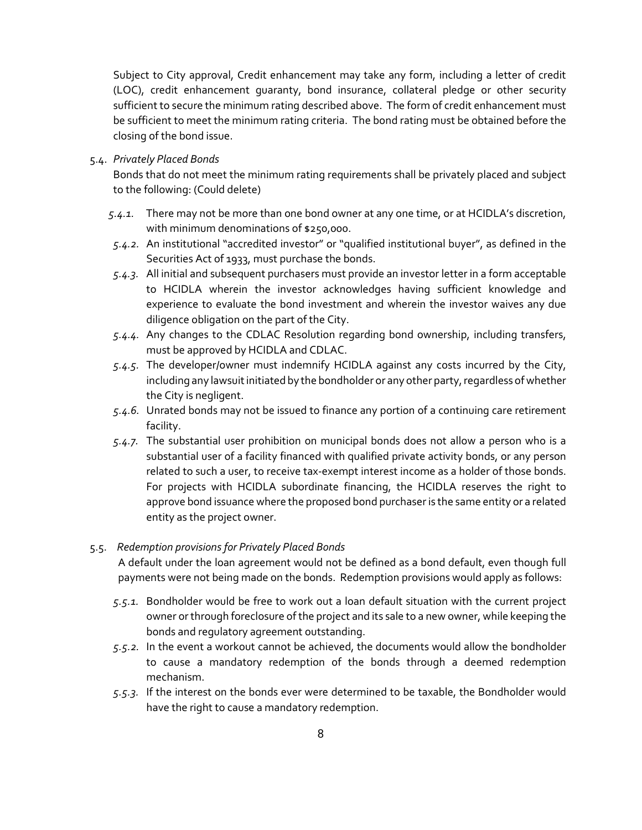Subject to City approval, Credit enhancement may take any form, including a letter of credit (LOC), credit enhancement guaranty, bond insurance, collateral pledge or other security sufficient to secure the minimum rating described above. The form of credit enhancement must be sufficient to meet the minimum rating criteria. The bond rating must be obtained before the closing of the bond issue.

#### 5.4. *Privately Placed Bonds*

Bonds that do not meet the minimum rating requirements shall be privately placed and subject to the following: (Could delete)

- *5.4.1.* There may not be more than one bond owner at any one time, or at HCIDLA's discretion, with minimum denominations of \$250,000.
- *5.4.2.* An institutional "accredited investor" or "qualified institutional buyer", as defined in the Securities Act of 1933, must purchase the bonds.
- *5.4.3.* All initial and subsequent purchasers must provide an investor letter in a form acceptable to HCIDLA wherein the investor acknowledges having sufficient knowledge and experience to evaluate the bond investment and wherein the investor waives any due diligence obligation on the part of the City.
- *5.4.4.* Any changes to the CDLAC Resolution regarding bond ownership, including transfers, must be approved by HCIDLA and CDLAC.
- *5.4.5.* The developer/owner must indemnify HCIDLA against any costs incurred by the City, including any lawsuit initiated by the bondholder or any other party, regardless of whether the City is negligent.
- *5.4.6.* Unrated bonds may not be issued to finance any portion of a continuing care retirement facility.
- *5.4.7.* The substantial user prohibition on municipal bonds does not allow a person who is a substantial user of a facility financed with qualified private activity bonds, or any person related to such a user, to receive tax-exempt interest income as a holder of those bonds. For projects with HCIDLA subordinate financing, the HCIDLA reserves the right to approve bond issuance where the proposed bond purchaser is the same entity or a related entity as the project owner.

#### 5.5. *Redemption provisions for Privately Placed Bonds*

A default under the loan agreement would not be defined as a bond default, even though full payments were not being made on the bonds. Redemption provisions would apply as follows:

- *5.5.1.* Bondholder would be free to work out a loan default situation with the current project owner or through foreclosure of the project and its sale to a new owner, while keeping the bonds and regulatory agreement outstanding.
- *5.5.2.* In the event a workout cannot be achieved, the documents would allow the bondholder to cause a mandatory redemption of the bonds through a deemed redemption mechanism.
- *5.5.3.* If the interest on the bonds ever were determined to be taxable, the Bondholder would have the right to cause a mandatory redemption.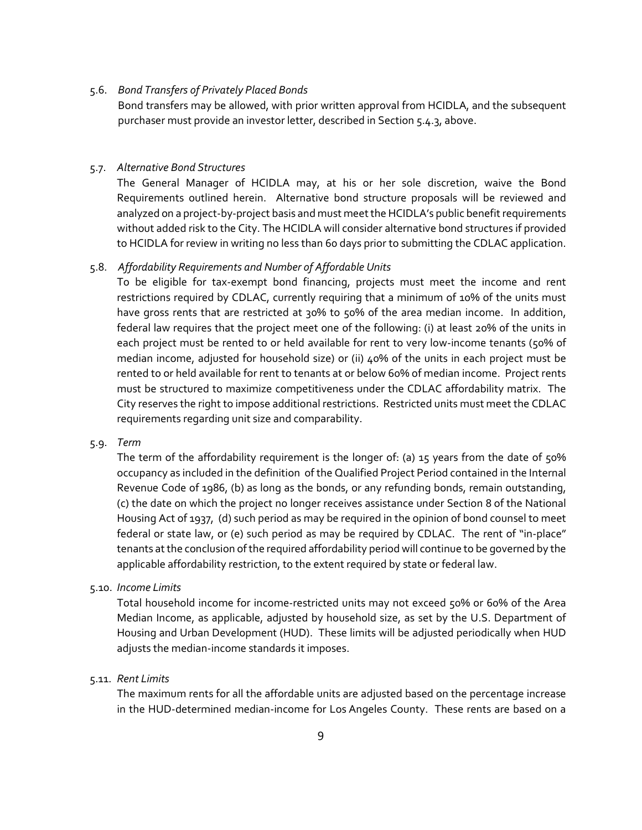#### 5.6. *Bond Transfers of Privately Placed Bonds*

Bond transfers may be allowed, with prior written approval from HCIDLA, and the subsequent purchaser must provide an investor letter, described in Section 5.4.3, above.

#### 5.7. *Alternative Bond Structures*

The General Manager of HCIDLA may, at his or her sole discretion, waive the Bond Requirements outlined herein. Alternative bond structure proposals will be reviewed and analyzed on a project-by-project basis and must meet the HCIDLA's public benefit requirements without added risk to the City. The HCIDLA will consider alternative bond structures if provided to HCIDLA for review in writing no less than 60 days prior to submitting the CDLAC application.

#### 5.8. *Affordability Requirements and Number of Affordable Units*

To be eligible for tax-exempt bond financing, projects must meet the income and rent restrictions required by CDLAC, currently requiring that a minimum of 10% of the units must have gross rents that are restricted at 30% to 50% of the area median income. In addition, federal law requires that the project meet one of the following: (i) at least 20% of the units in each project must be rented to or held available for rent to very low-income tenants (50% of median income, adjusted for household size) or (ii) 40% of the units in each project must be rented to or held available for rent to tenants at or below 60% of median income. Project rents must be structured to maximize competitiveness under the CDLAC affordability matrix. The City reserves the right to impose additional restrictions. Restricted units must meet the CDLAC requirements regarding unit size and comparability.

#### 5.9. *Term*

The term of the affordability requirement is the longer of: (a) 15 years from the date of 50% occupancy as included in the definition of the Qualified Project Period contained in the Internal Revenue Code of 1986, (b) as long as the bonds, or any refunding bonds, remain outstanding, (c) the date on which the project no longer receives assistance under Section 8 of the National Housing Act of 1937, (d) such period as may be required in the opinion of bond counsel to meet federal or state law, or (e) such period as may be required by CDLAC. The rent of "in-place" tenants at the conclusion of the required affordability period will continue to be governed by the applicable affordability restriction, to the extent required by state or federal law.

#### 5.10. *Income Limits*

Total household income for income-restricted units may not exceed 50% or 60% of the Area Median Income, as applicable, adjusted by household size, as set by the U.S. Department of Housing and Urban Development (HUD). These limits will be adjusted periodically when HUD adjusts the median-income standards it imposes.

#### 5.11. *Rent Limits*

The maximum rents for all the affordable units are adjusted based on the percentage increase in the HUD-determined median-income for Los Angeles County. These rents are based on a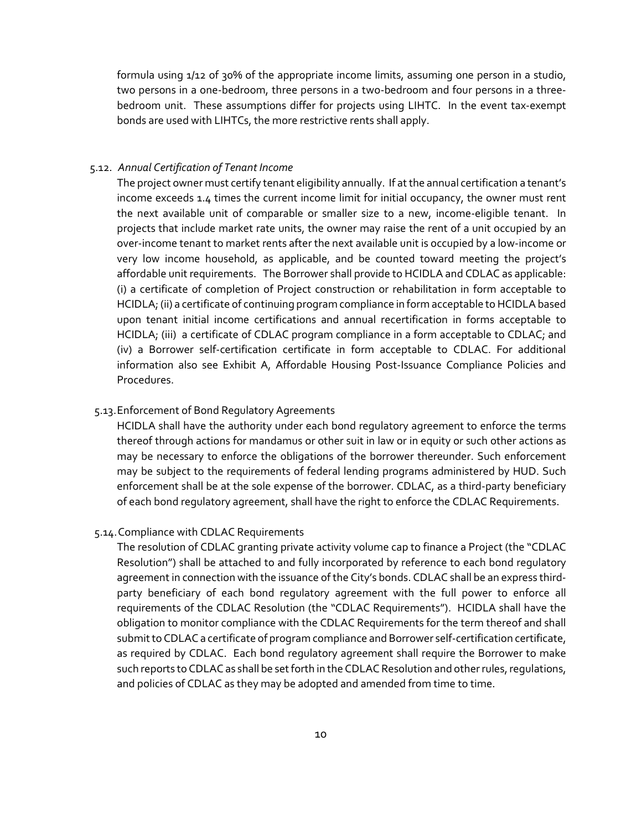formula using 1/12 of 30% of the appropriate income limits, assuming one person in a studio, two persons in a one-bedroom, three persons in a two-bedroom and four persons in a threebedroom unit. These assumptions differ for projects using LIHTC. In the event tax-exempt bonds are used with LIHTCs, the more restrictive rents shall apply.

#### 5.12. *Annual Certification of Tenant Income*

The project owner must certify tenant eligibility annually. If at the annual certification a tenant's income exceeds 1.4 times the current income limit for initial occupancy, the owner must rent the next available unit of comparable or smaller size to a new, income-eligible tenant. In projects that include market rate units, the owner may raise the rent of a unit occupied by an over-income tenant to market rents after the next available unit is occupied by a low-income or very low income household, as applicable, and be counted toward meeting the project's affordable unit requirements. The Borrower shall provide to HCIDLA and CDLAC as applicable: (i) a certificate of completion of Project construction or rehabilitation in form acceptable to HCIDLA; (ii) a certificate of continuing program compliance in form acceptable to HCIDLA based upon tenant initial income certifications and annual recertification in forms acceptable to HCIDLA; (iii) a certificate of CDLAC program compliance in a form acceptable to CDLAC; and (iv) a Borrower self-certification certificate in form acceptable to CDLAC. For additional information also see Exhibit A, Affordable Housing Post-Issuance Compliance Policies and Procedures.

#### 5.13.Enforcement of Bond Regulatory Agreements

HCIDLA shall have the authority under each bond regulatory agreement to enforce the terms thereof through actions for mandamus or other suit in law or in equity or such other actions as may be necessary to enforce the obligations of the borrower thereunder. Such enforcement may be subject to the requirements of federal lending programs administered by HUD. Such enforcement shall be at the sole expense of the borrower. CDLAC, as a third-party beneficiary of each bond regulatory agreement, shall have the right to enforce the CDLAC Requirements.

#### 5.14.Compliance with CDLAC Requirements

The resolution of CDLAC granting private activity volume cap to finance a Project (the "CDLAC Resolution") shall be attached to and fully incorporated by reference to each bond regulatory agreement in connection with the issuance of the City's bonds. CDLAC shall be an express thirdparty beneficiary of each bond regulatory agreement with the full power to enforce all requirements of the CDLAC Resolution (the "CDLAC Requirements"). HCIDLA shall have the obligation to monitor compliance with the CDLAC Requirements for the term thereof and shall submit to CDLAC a certificate of program compliance and Borrower self-certification certificate, as required by CDLAC. Each bond regulatory agreement shall require the Borrower to make such reports to CDLAC as shall be set forth in the CDLAC Resolution and other rules, regulations, and policies of CDLAC as they may be adopted and amended from time to time.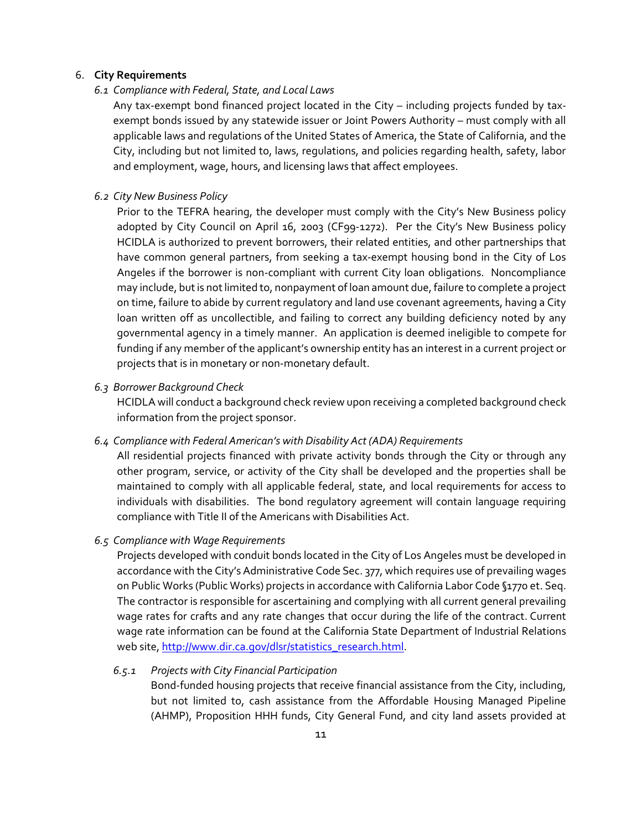#### 6. **City Requirements**

#### *6.1 Compliance with Federal, State, and Local Laws*

Any tax-exempt bond financed project located in the City – including projects funded by taxexempt bonds issued by any statewide issuer or Joint Powers Authority – must comply with all applicable laws and regulations of the United States of America, the State of California, and the City, including but not limited to, laws, regulations, and policies regarding health, safety, labor and employment, wage, hours, and licensing laws that affect employees.

#### *6.2 City New Business Policy*

Prior to the TEFRA hearing, the developer must comply with the City's New Business policy adopted by City Council on April 16, 2003 (CF99-1272). Per the City's New Business policy HCIDLA is authorized to prevent borrowers, their related entities, and other partnerships that have common general partners, from seeking a tax-exempt housing bond in the City of Los Angeles if the borrower is non-compliant with current City loan obligations. Noncompliance may include, but is not limited to, nonpayment of loan amount due, failure to complete a project on time, failure to abide by current regulatory and land use covenant agreements, having a City loan written off as uncollectible, and failing to correct any building deficiency noted by any governmental agency in a timely manner. An application is deemed ineligible to compete for funding if any member of the applicant's ownership entity has an interest in a current project or projects that is in monetary or non-monetary default.

#### *6.3 Borrower Background Check*

HCIDLA will conduct a background check review upon receiving a completed background check information from the project sponsor.

#### *6.4 Compliance with Federal American's with Disability Act (ADA) Requirements*

All residential projects financed with private activity bonds through the City or through any other program, service, or activity of the City shall be developed and the properties shall be maintained to comply with all applicable federal, state, and local requirements for access to individuals with disabilities. The bond regulatory agreement will contain language requiring compliance with Title II of the Americans with Disabilities Act.

#### *6.5 Compliance with Wage Requirements*

Projects developed with conduit bonds located in the City of Los Angeles must be developed in accordance with the City's Administrative Code Sec. 377, which requires use of prevailing wages on Public Works (Public Works) projects in accordance with California Labor Code §1770 et. Seq. The contractor is responsible for ascertaining and complying with all current general prevailing wage rates for crafts and any rate changes that occur during the life of the contract. Current wage rate information can be found at the California State Department of Industrial Relations web site[, http://www.dir.ca.gov/dlsr/statistics\\_research.html.](http://www.dir.ca.gov/dlsr/statistics_research.html)

#### *6.5.1 Projects with City Financial Participation*

Bond-funded housing projects that receive financial assistance from the City, including, but not limited to, cash assistance from the Affordable Housing Managed Pipeline (AHMP), Proposition HHH funds, City General Fund, and city land assets provided at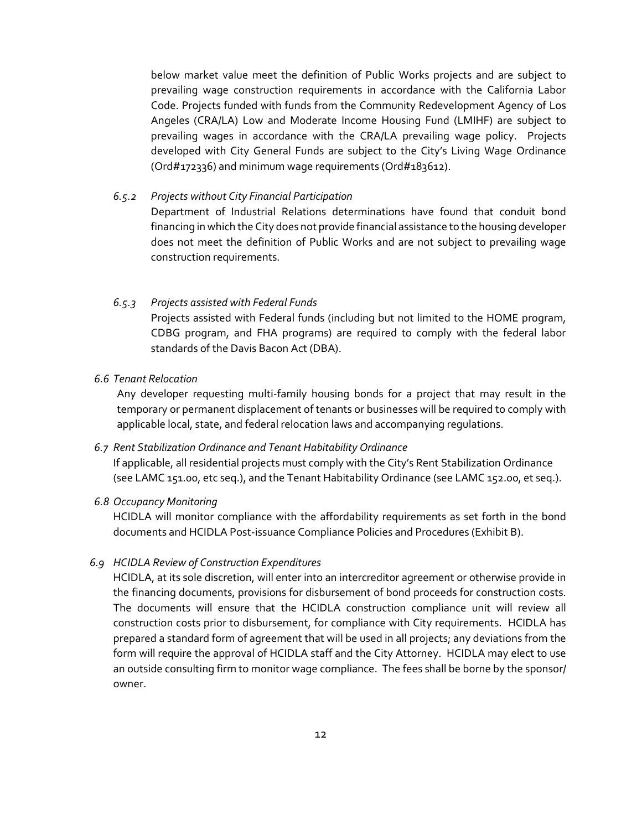below market value meet the definition of Public Works projects and are subject to prevailing wage construction requirements in accordance with the California Labor Code. Projects funded with funds from the Community Redevelopment Agency of Los Angeles (CRA/LA) Low and Moderate Income Housing Fund (LMIHF) are subject to prevailing wages in accordance with the CRA/LA prevailing wage policy. Projects developed with City General Funds are subject to the City's Living Wage Ordinance (Ord#172336) and minimum wage requirements (Ord#183612).

*6.5.2 Projects without City Financial Participation*

Department of Industrial Relations determinations have found that conduit bond financing in which the City does not provide financial assistance to the housing developer does not meet the definition of Public Works and are not subject to prevailing wage construction requirements.

#### *6.5.3 Projects assisted with Federal Funds*

Projects assisted with Federal funds (including but not limited to the HOME program, CDBG program, and FHA programs) are required to comply with the federal labor standards of the Davis Bacon Act (DBA).

#### *6.6 Tenant Relocation*

Any developer requesting multi-family housing bonds for a project that may result in the temporary or permanent displacement of tenants or businesses will be required to comply with applicable local, state, and federal relocation laws and accompanying regulations.

#### *6.7 Rent Stabilization Ordinance and Tenant Habitability Ordinance*

If applicable, all residential projects must comply with the City's Rent Stabilization Ordinance (see LAMC 151.00, etc seq.), and the Tenant Habitability Ordinance (see LAMC 152.00, et seq.).

#### *6.8 Occupancy Monitoring*

HCIDLA will monitor compliance with the affordability requirements as set forth in the bond documents and HCIDLA Post-issuance Compliance Policies and Procedures (Exhibit B).

#### *6.9 HCIDLA Review of Construction Expenditures*

HCIDLA, at its sole discretion, will enter into an intercreditor agreement or otherwise provide in the financing documents, provisions for disbursement of bond proceeds for construction costs. The documents will ensure that the HCIDLA construction compliance unit will review all construction costs prior to disbursement, for compliance with City requirements. HCIDLA has prepared a standard form of agreement that will be used in all projects; any deviations from the form will require the approval of HCIDLA staff and the City Attorney. HCIDLA may elect to use an outside consulting firm to monitor wage compliance. The fees shall be borne by the sponsor/ owner.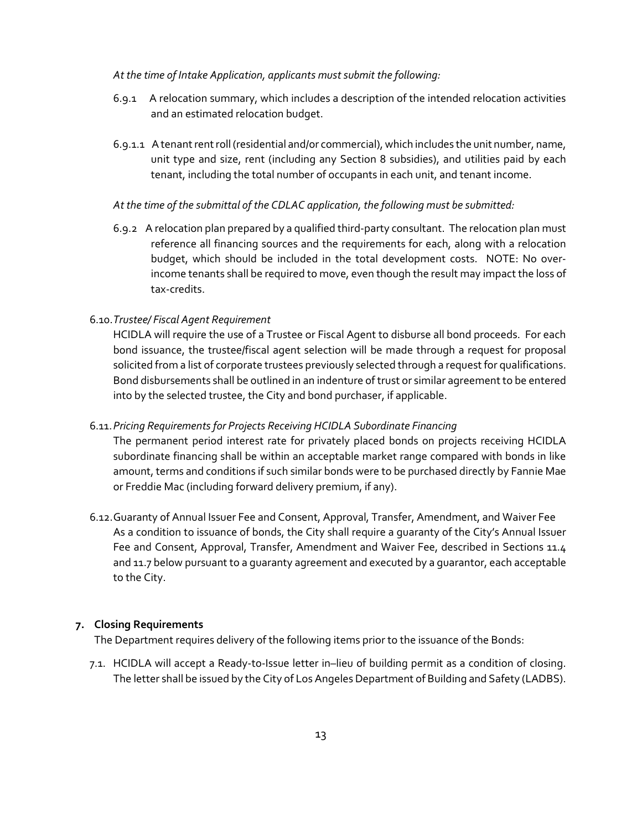#### *At the time of Intake Application, applicants must submit the following:*

- 6.9.1 A relocation summary, which includes a description of the intended relocation activities and an estimated relocation budget.
- 6.9.1.1 A tenant rent roll (residential and/or commercial), which includes the unit number, name, unit type and size, rent (including any Section 8 subsidies), and utilities paid by each tenant, including the total number of occupants in each unit, and tenant income.

#### *At the time of the submittal of the CDLAC application, the following must be submitted:*

6.9.2 A relocation plan prepared by a qualified third-party consultant. The relocation plan must reference all financing sources and the requirements for each, along with a relocation budget, which should be included in the total development costs. NOTE: No overincome tenants shall be required to move, even though the result may impact the loss of tax-credits.

#### 6.10.*Trustee/ Fiscal Agent Requirement*

HCIDLA will require the use of a Trustee or Fiscal Agent to disburse all bond proceeds. For each bond issuance, the trustee/fiscal agent selection will be made through a request for proposal solicited from a list of corporate trustees previously selected through a request for qualifications. Bond disbursements shall be outlined in an indenture of trust or similar agreement to be entered into by the selected trustee, the City and bond purchaser, if applicable.

#### 6.11.*Pricing Requirements for Projects Receiving HCIDLA Subordinate Financing*

The permanent period interest rate for privately placed bonds on projects receiving HCIDLA subordinate financing shall be within an acceptable market range compared with bonds in like amount, terms and conditions if such similar bonds were to be purchased directly by Fannie Mae or Freddie Mac (including forward delivery premium, if any).

6.12.Guaranty of Annual Issuer Fee and Consent, Approval, Transfer, Amendment, and Waiver Fee As a condition to issuance of bonds, the City shall require a guaranty of the City's Annual Issuer Fee and Consent, Approval, Transfer, Amendment and Waiver Fee, described in Sections 11.4 and 11.7 below pursuant to a guaranty agreement and executed by a guarantor, each acceptable to the City.

#### **7. Closing Requirements**

The Department requires delivery of the following items prior to the issuance of the Bonds:

7.1. HCIDLA will accept a Ready-to-Issue letter in–lieu of building permit as a condition of closing. The letter shall be issued by the City of Los Angeles Department of Building and Safety (LADBS).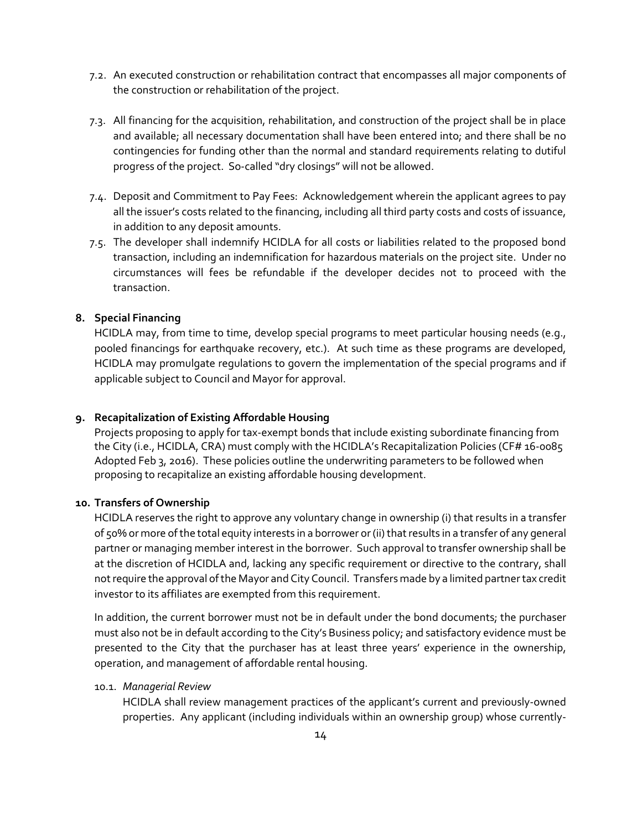- 7.2. An executed construction or rehabilitation contract that encompasses all major components of the construction or rehabilitation of the project.
- 7.3. All financing for the acquisition, rehabilitation, and construction of the project shall be in place and available; all necessary documentation shall have been entered into; and there shall be no contingencies for funding other than the normal and standard requirements relating to dutiful progress of the project. So-called "dry closings" will not be allowed.
- 7.4. Deposit and Commitment to Pay Fees: Acknowledgement wherein the applicant agrees to pay all the issuer's costs related to the financing, including all third party costs and costs of issuance, in addition to any deposit amounts.
- 7.5. The developer shall indemnify HCIDLA for all costs or liabilities related to the proposed bond transaction, including an indemnification for hazardous materials on the project site. Under no circumstances will fees be refundable if the developer decides not to proceed with the transaction.

# **8. Special Financing**

HCIDLA may, from time to time, develop special programs to meet particular housing needs (e.g., pooled financings for earthquake recovery, etc.). At such time as these programs are developed, HCIDLA may promulgate regulations to govern the implementation of the special programs and if applicable subject to Council and Mayor for approval.

#### **9. Recapitalization of Existing Affordable Housing**

Projects proposing to apply for tax-exempt bonds that include existing subordinate financing from the City (i.e., HCIDLA, CRA) must comply with the HCIDLA's Recapitalization Policies (CF# 16-0085 Adopted Feb 3, 2016). These policies outline the underwriting parameters to be followed when proposing to recapitalize an existing affordable housing development.

#### **10. Transfers of Ownership**

HCIDLA reserves the right to approve any voluntary change in ownership (i) that results in a transfer of 50% or more of the total equity interests in a borrower or (ii) that results in a transfer of any general partner or managing member interest in the borrower. Such approval to transfer ownership shall be at the discretion of HCIDLA and, lacking any specific requirement or directive to the contrary, shall not require the approval of the Mayor and City Council. Transfers made by a limited partner tax credit investor to its affiliates are exempted from this requirement.

In addition, the current borrower must not be in default under the bond documents; the purchaser must also not be in default according to the City's Business policy; and satisfactory evidence must be presented to the City that the purchaser has at least three years' experience in the ownership, operation, and management of affordable rental housing.

#### 10.1. *Managerial Review*

HCIDLA shall review management practices of the applicant's current and previously-owned properties. Any applicant (including individuals within an ownership group) whose currently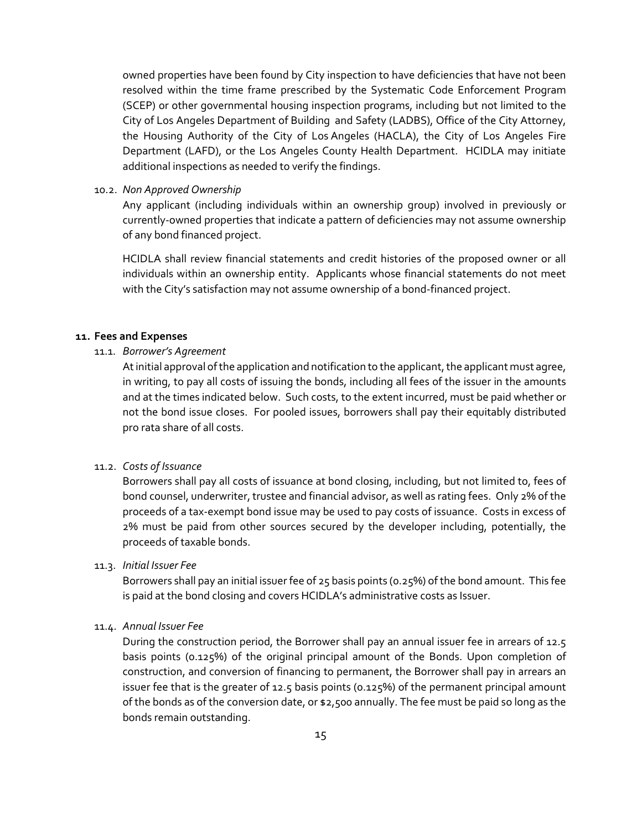owned properties have been found by City inspection to have deficiencies that have not been resolved within the time frame prescribed by the Systematic Code Enforcement Program (SCEP) or other governmental housing inspection programs, including but not limited to the City of Los Angeles Department of Building and Safety (LADBS), Office of the City Attorney, the Housing Authority of the City of Los Angeles (HACLA), the City of Los Angeles Fire Department (LAFD), or the Los Angeles County Health Department. HCIDLA may initiate additional inspections as needed to verify the findings.

10.2. *Non Approved Ownership*

Any applicant (including individuals within an ownership group) involved in previously or currently-owned properties that indicate a pattern of deficiencies may not assume ownership of any bond financed project.

HCIDLA shall review financial statements and credit histories of the proposed owner or all individuals within an ownership entity. Applicants whose financial statements do not meet with the City's satisfaction may not assume ownership of a bond-financed project.

#### **11. Fees and Expenses**

#### 11.1. *Borrower's Agreement*

At initial approval of the application and notification to the applicant, the applicant must agree, in writing, to pay all costs of issuing the bonds, including all fees of the issuer in the amounts and at the times indicated below. Such costs, to the extent incurred, must be paid whether or not the bond issue closes. For pooled issues, borrowers shall pay their equitably distributed pro rata share of all costs.

# 11.2. *Costs of Issuance*

Borrowers shall pay all costs of issuance at bond closing, including, but not limited to, fees of bond counsel, underwriter, trustee and financial advisor, as well as rating fees. Only 2% of the proceeds of a tax-exempt bond issue may be used to pay costs of issuance. Costs in excess of 2% must be paid from other sources secured by the developer including, potentially, the proceeds of taxable bonds.

#### 11.3. *Initial Issuer Fee*

Borrowers shall pay an initial issuer fee of 25 basis points (0.25%) of the bond amount. This fee is paid at the bond closing and covers HCIDLA's administrative costs as Issuer.

#### 11.4. *Annual Issuer Fee*

During the construction period, the Borrower shall pay an annual issuer fee in arrears of 12.5 basis points (0.125%) of the original principal amount of the Bonds. Upon completion of construction, and conversion of financing to permanent, the Borrower shall pay in arrears an issuer fee that is the greater of 12.5 basis points (0.125%) of the permanent principal amount of the bonds as of the conversion date, or \$2,500 annually. The fee must be paid so long as the bonds remain outstanding.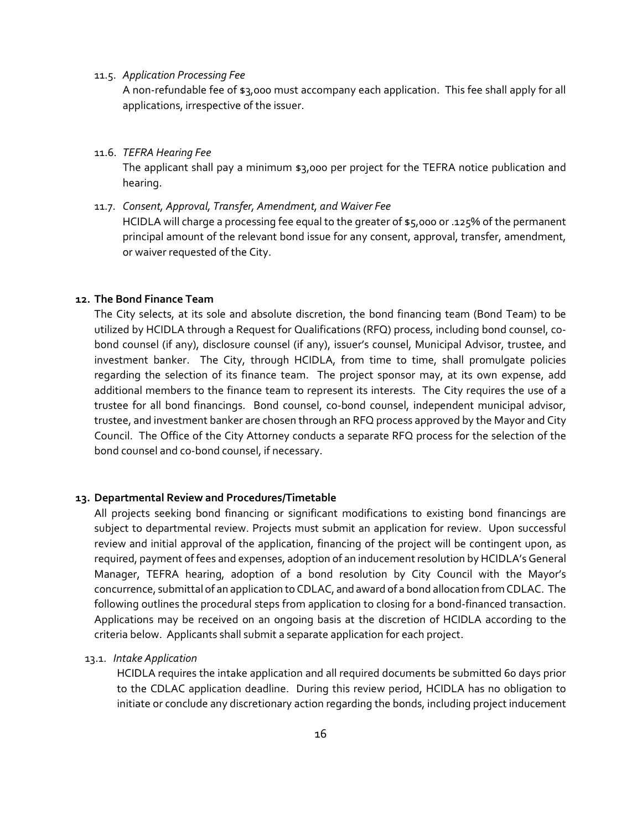#### 11.5. *Application Processing Fee*

A non-refundable fee of \$3,000 must accompany each application. This fee shall apply for all applications, irrespective of the issuer.

11.6. *TEFRA Hearing Fee*

The applicant shall pay a minimum \$3,000 per project for the TEFRA notice publication and hearing.

#### 11.7. *Consent, Approval, Transfer, Amendment, and Waiver Fee*

HCIDLA will charge a processing fee equal to the greater of \$5,000 or .125% of the permanent principal amount of the relevant bond issue for any consent, approval, transfer, amendment, or waiver requested of the City.

#### **12. The Bond Finance Team**

The City selects, at its sole and absolute discretion, the bond financing team (Bond Team) to be utilized by HCIDLA through a Request for Qualifications (RFQ) process, including bond counsel, cobond counsel (if any), disclosure counsel (if any), issuer's counsel, Municipal Advisor, trustee, and investment banker. The City, through HCIDLA, from time to time, shall promulgate policies regarding the selection of its finance team. The project sponsor may, at its own expense, add additional members to the finance team to represent its interests. The City requires the use of a trustee for all bond financings. Bond counsel, co-bond counsel, independent municipal advisor, trustee, and investment banker are chosen through an RFQ process approved by the Mayor and City Council. The Office of the City Attorney conducts a separate RFQ process for the selection of the bond counsel and co-bond counsel, if necessary.

#### **13. Departmental Review and Procedures/Timetable**

All projects seeking bond financing or significant modifications to existing bond financings are subject to departmental review. Projects must submit an application for review. Upon successful review and initial approval of the application, financing of the project will be contingent upon, as required, payment of fees and expenses, adoption of an inducement resolution by HCIDLA's General Manager, TEFRA hearing, adoption of a bond resolution by City Council with the Mayor's concurrence, submittal of an application to CDLAC, and award of a bond allocation from CDLAC. The following outlines the procedural steps from application to closing for a bond-financed transaction. Applications may be received on an ongoing basis at the discretion of HCIDLA according to the criteria below. Applicants shall submit a separate application for each project.

#### 13.1. *Intake Application*

HCIDLA requires the intake application and all required documents be submitted 60 days prior to the CDLAC application deadline. During this review period, HCIDLA has no obligation to initiate or conclude any discretionary action regarding the bonds, including project inducement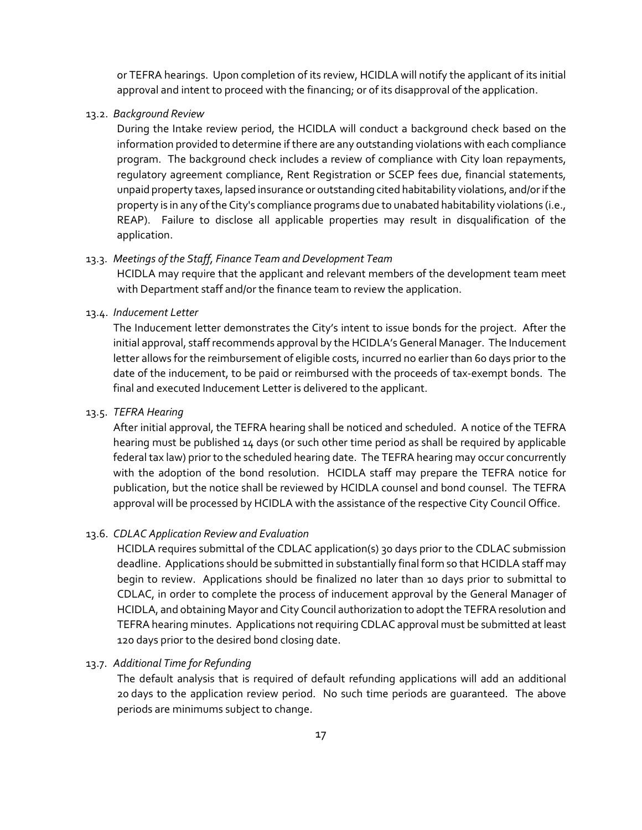or TEFRA hearings. Upon completion of its review, HCIDLA will notify the applicant of its initial approval and intent to proceed with the financing; or of its disapproval of the application.

13.2. *Background Review*

During the Intake review period, the HCIDLA will conduct a background check based on the information provided to determine if there are any outstanding violations with each compliance program. The background check includes a review of compliance with City loan repayments, regulatory agreement compliance, Rent Registration or SCEP fees due, financial statements, unpaid property taxes, lapsed insurance or outstanding cited habitability violations, and/or if the property is in any of the City's compliance programs due to unabated habitability violations (i.e., REAP). Failure to disclose all applicable properties may result in disqualification of the application.

#### 13.3. *Meetings of the Staff, Finance Team and Development Team*

HCIDLA may require that the applicant and relevant members of the development team meet with Department staff and/or the finance team to review the application.

#### 13.4. *Inducement Letter*

The Inducement letter demonstrates the City's intent to issue bonds for the project. After the initial approval, staff recommends approval by the HCIDLA's General Manager. The Inducement letter allows for the reimbursement of eligible costs, incurred no earlier than 60 days prior to the date of the inducement, to be paid or reimbursed with the proceeds of tax-exempt bonds. The final and executed Inducement Letter is delivered to the applicant.

#### 13.5. *TEFRA Hearing*

After initial approval, the TEFRA hearing shall be noticed and scheduled. A notice of the TEFRA hearing must be published 14 days (or such other time period as shall be required by applicable federal tax law) prior to the scheduled hearing date. The TEFRA hearing may occur concurrently with the adoption of the bond resolution. HCIDLA staff may prepare the TEFRA notice for publication, but the notice shall be reviewed by HCIDLA counsel and bond counsel. The TEFRA approval will be processed by HCIDLA with the assistance of the respective City Council Office.

#### 13.6. *CDLAC Application Review and Evaluation*

HCIDLA requires submittal of the CDLAC application(s) 30 days prior to the CDLAC submission deadline. Applications should be submitted in substantially final form so that HCIDLA staff may begin to review. Applications should be finalized no later than 10 days prior to submittal to CDLAC, in order to complete the process of inducement approval by the General Manager of HCIDLA, and obtaining Mayor and City Council authorization to adopt the TEFRA resolution and TEFRA hearing minutes. Applications not requiring CDLAC approval must be submitted at least 120 days prior to the desired bond closing date.

#### 13.7. *Additional Time for Refunding*

The default analysis that is required of default refunding applications will add an additional 20 days to the application review period. No such time periods are guaranteed. The above periods are minimums subject to change.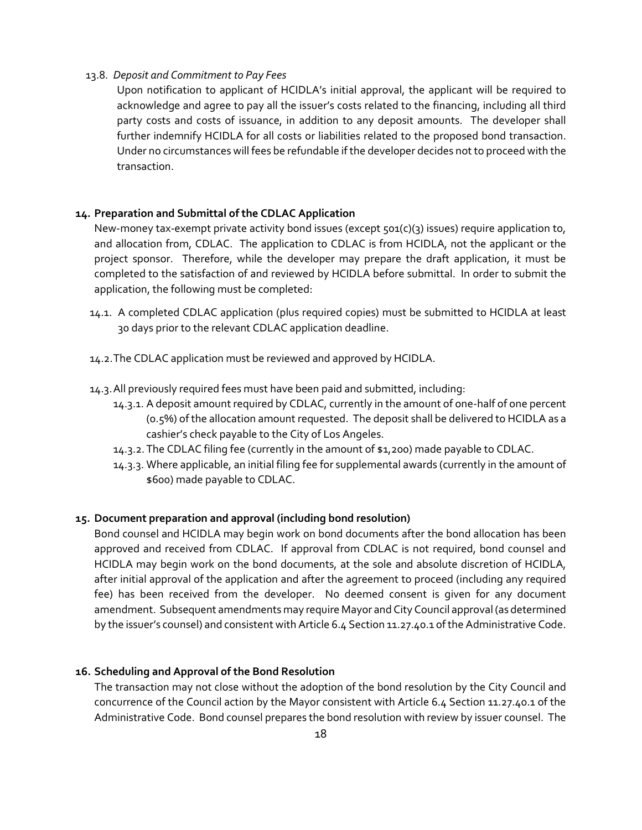#### 13.8. *Deposit and Commitment to Pay Fees*

Upon notification to applicant of HCIDLA's initial approval, the applicant will be required to acknowledge and agree to pay all the issuer's costs related to the financing, including all third party costs and costs of issuance, in addition to any deposit amounts. The developer shall further indemnify HCIDLA for all costs or liabilities related to the proposed bond transaction. Under no circumstances will fees be refundable if the developer decides not to proceed with the transaction.

#### **14. Preparation and Submittal of the CDLAC Application**

New-money tax-exempt private activity bond issues (except 501(c)(3) issues) require application to, and allocation from, CDLAC. The application to CDLAC is from HCIDLA, not the applicant or the project sponsor. Therefore, while the developer may prepare the draft application, it must be completed to the satisfaction of and reviewed by HCIDLA before submittal. In order to submit the application, the following must be completed:

- 14.1. A completed CDLAC application (plus required copies) must be submitted to HCIDLA at least 30 days prior to the relevant CDLAC application deadline.
- 14.2.The CDLAC application must be reviewed and approved by HCIDLA.
- 14.3.All previously required fees must have been paid and submitted, including:
	- 14.3.1. A deposit amount required by CDLAC, currently in the amount of one-half of one percent (0.5%) of the allocation amount requested. The deposit shall be delivered to HCIDLA as a cashier's check payable to the City of Los Angeles.
	- 14.3.2.The CDLAC filing fee (currently in the amount of \$1,200) made payable to CDLAC.
	- 14.3.3. Where applicable, an initial filing fee for supplemental awards (currently in the amount of \$600) made payable to CDLAC.

#### **15. Document preparation and approval (including bond resolution)**

Bond counsel and HCIDLA may begin work on bond documents after the bond allocation has been approved and received from CDLAC. If approval from CDLAC is not required, bond counsel and HCIDLA may begin work on the bond documents, at the sole and absolute discretion of HCIDLA, after initial approval of the application and after the agreement to proceed (including any required fee) has been received from the developer. No deemed consent is given for any document amendment. Subsequent amendments may require Mayor and City Council approval (as determined by the issuer's counsel) and consistent with Article 6.4 Section 11.27.40.1 of the Administrative Code.

#### **16. Scheduling and Approval of the Bond Resolution**

The transaction may not close without the adoption of the bond resolution by the City Council and concurrence of the Council action by the Mayor consistent with Article 6.4 Section 11.27.40.1 of the Administrative Code. Bond counsel prepares the bond resolution with review by issuer counsel. The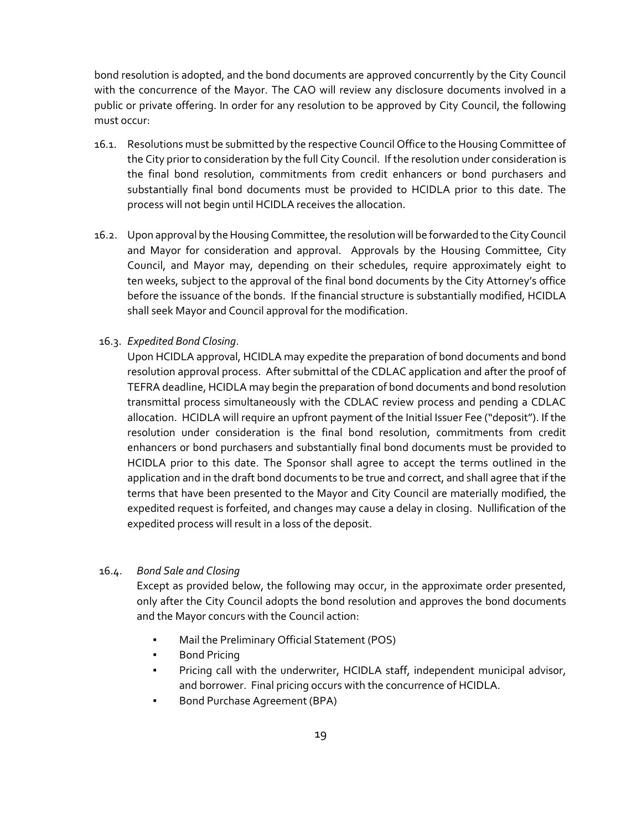bond resolution is adopted, and the bond documents are approved concurrently by the City Council with the concurrence of the Mayor. The CAO will review any disclosure documents involved in a public or private offering. In order for any resolution to be approved by City Council, the following must occur:

- 16.1. Resolutions must be submitted by the respective Council Office to the Housing Committee of the City prior to consideration by the full City Council. If the resolution under consideration is the final bond resolution, commitments from credit enhancers or bond purchasers and substantially final bond documents must be provided to HCIDLA prior to this date. The process will not begin until HCIDLA receives the allocation.
- 16.2. Upon approval by the Housing Committee, the resolution will be forwarded to the City Council and Mayor for consideration and approval. Approvals by the Housing Committee, City Council, and Mayor may, depending on their schedules, require approximately eight to ten weeks, subject to the approval of the final bond documents by the City Attorney's office before the issuance of the bonds. If the financial structure is substantially modified, HCIDLA shall seek Mayor and Council approval for the modification.
- 16.3. *Expedited Bond Closing*.

Upon HCIDLA approval, HCIDLA may expedite the preparation of bond documents and bond resolution approval process. After submittal of the CDLAC application and after the proof of TEFRA deadline, HCIDLA may begin the preparation of bond documents and bond resolution transmittal process simultaneously with the CDLAC review process and pending a CDLAC allocation. HCIDLA will require an upfront payment of the Initial Issuer Fee ("deposit"). If the resolution under consideration is the final bond resolution, commitments from credit enhancers or bond purchasers and substantially final bond documents must be provided to HCIDLA prior to this date. The Sponsor shall agree to accept the terms outlined in the application and in the draft bond documents to be true and correct, and shall agree that if the terms that have been presented to the Mayor and City Council are materially modified, the expedited request is forfeited, and changes may cause a delay in closing. Nullification of the expedited process will result in a loss of the deposit.

#### 16.4. *Bond Sale and Closing*

Except as provided below, the following may occur, in the approximate order presented, only after the City Council adopts the bond resolution and approves the bond documents and the Mayor concurs with the Council action:

- Mail the Preliminary Official Statement (POS)
- Bond Pricing
- Pricing call with the underwriter, HCIDLA staff, independent municipal advisor, and borrower. Final pricing occurs with the concurrence of HCIDLA.
- Bond Purchase Agreement (BPA)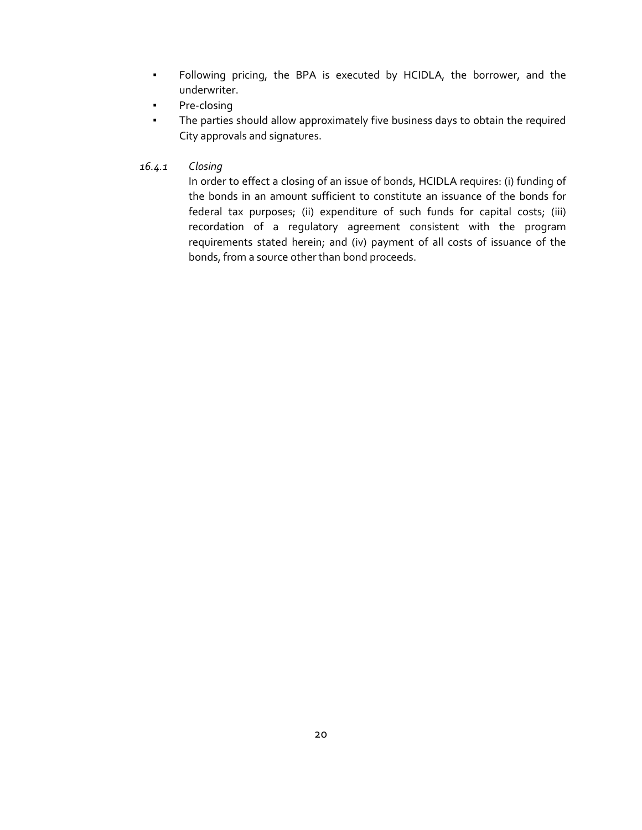- Following pricing, the BPA is executed by HCIDLA, the borrower, and the underwriter.
- Pre-closing
- The parties should allow approximately five business days to obtain the required City approvals and signatures.
- *16.4.1 Closing*

In order to effect a closing of an issue of bonds, HCIDLA requires: (i) funding of the bonds in an amount sufficient to constitute an issuance of the bonds for federal tax purposes; (ii) expenditure of such funds for capital costs; (iii) recordation of a regulatory agreement consistent with the program requirements stated herein; and (iv) payment of all costs of issuance of the bonds, from a source other than bond proceeds.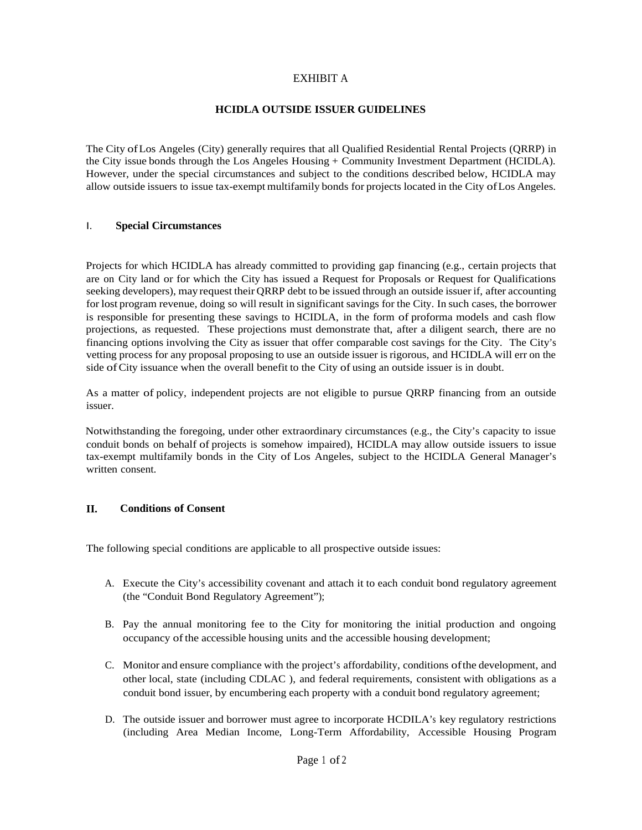# EXHIBIT A

## **HCIDLA OUTSIDE ISSUER GUIDELINES**

The City ofLos Angeles (City) generally requires that all Qualified Residential Rental Projects (QRRP) in the City issue bonds through the Los Angeles Housing + Community Investment Department (HCIDLA). However, under the special circumstances and subject to the conditions described below, HCIDLA may allow outside issuers to issue tax-exempt multifamily bonds for projects located in the City ofLos Angeles.

#### I. **Special Circumstances**

Projects for which HCIDLA has already committed to providing gap financing (e.g., certain projects that are on City land or for which the City has issued a Request for Proposals or Request for Qualifications seeking developers), may request their QRRP debt to be issued through an outside issuer if, after accounting for lost program revenue, doing so will result in significant savings for the City. In such cases, the borrower is responsible for presenting these savings to HCIDLA, in the form of proforma models and cash flow projections, as requested. These projections must demonstrate that, after a diligent search, there are no financing options involving the City as issuer that offer comparable cost savings for the City. The City's vetting process for any proposal proposing to use an outside issuer is rigorous, and HCIDLA will err on the side of City issuance when the overall benefit to the City of using an outside issuer is in doubt.

As a matter of policy, independent projects are not eligible to pursue QRRP financing from an outside issuer.

Notwithstanding the foregoing, under other extraordinary circumstances (e.g., the City's capacity to issue conduit bonds on behalf of projects is somehow impaired), HCIDLA may allow outside issuers to issue tax-exempt multifamily bonds in the City of Los Angeles, subject to the HCIDLA General Manager's written consent.

#### **II. Conditions of Consent**

The following special conditions are applicable to all prospective outside issues:

- A. Execute the City's accessibility covenant and attach it to each conduit bond regulatory agreement (the "Conduit Bond Regulatory Agreement");
- B. Pay the annual monitoring fee to the City for monitoring the initial production and ongoing occupancy ofthe accessible housing units and the accessible housing development;
- C. Monitor and ensure compliance with the project's affordability, conditions ofthe development, and other local, state (including CDLAC ), and federal requirements, consistent with obligations as a conduit bond issuer, by encumbering each property with a conduit bond regulatory agreement;
- D. The outside issuer and borrower must agree to incorporate HCDILA's key regulatory restrictions (including Area Median Income, Long-Term Affordability, Accessible Housing Program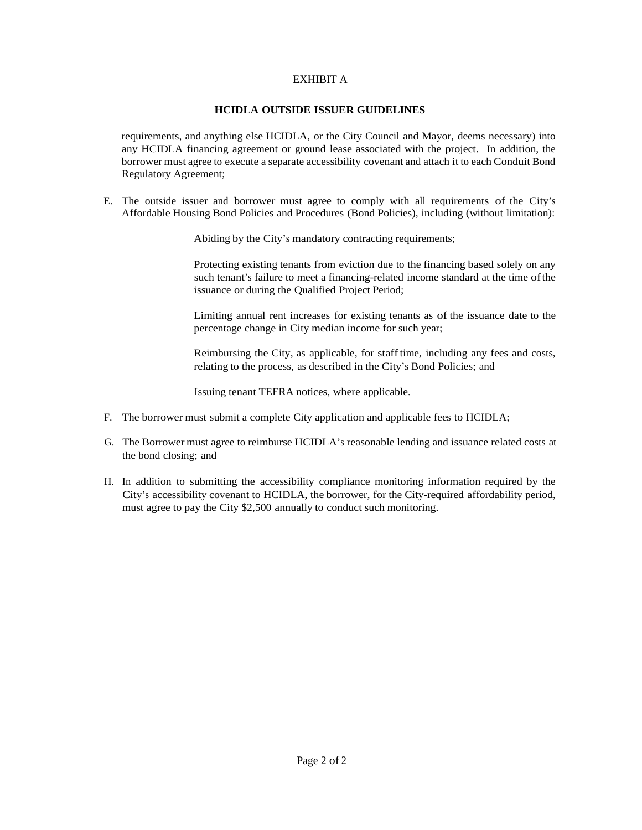# EXHIBIT A

### **HCIDLA OUTSIDE ISSUER GUIDELINES**

requirements, and anything else HCIDLA, or the City Council and Mayor, deems necessary) into any HCIDLA financing agreement or ground lease associated with the project. In addition, the borrower must agree to execute a separate accessibility covenant and attach it to each Conduit Bond Regulatory Agreement;

E. The outside issuer and borrower must agree to comply with all requirements of the City's Affordable Housing Bond Policies and Procedures (Bond Policies), including (without limitation):

Abiding by the City's mandatory contracting requirements;

Protecting existing tenants from eviction due to the financing based solely on any such tenant's failure to meet a financing-related income standard at the time ofthe issuance or during the Qualified Project Period;

Limiting annual rent increases for existing tenants as of the issuance date to the percentage change in City median income for such year;

Reimbursing the City, as applicable, for staff time, including any fees and costs, relating to the process, as described in the City's Bond Policies; and

Issuing tenant TEFRA notices, where applicable.

- F. The borrower must submit a complete City application and applicable fees to HCIDLA;
- G. The Borrower must agree to reimburse HCIDLA's reasonable lending and issuance related costs at the bond closing; and
- H. In addition to submitting the accessibility compliance monitoring information required by the City's accessibility covenant to HCIDLA, the borrower, for the City-required affordability period, must agree to pay the City \$2,500 annually to conduct such monitoring.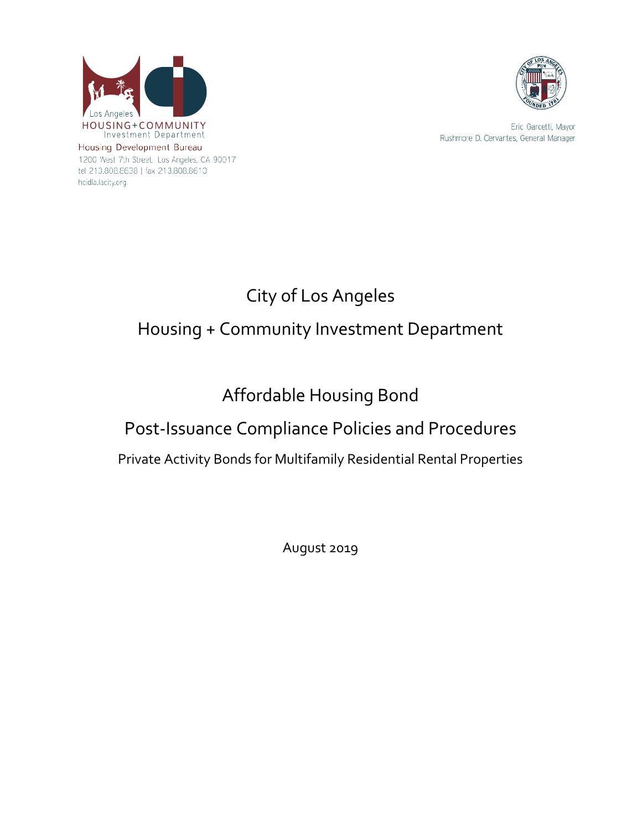

1200 West 7th Street, Los Angeles, CA 90017 tel 213.808.8638 | fax 213.808.8610 hcidla.lacity.org



Eric Garcetti, Mayor Rushmore D. Cervantes, General Manager

# City of Los Angeles Housing + Community Investment Department

# Affordable Housing Bond

# Post-Issuance Compliance Policies and Procedures

Private Activity Bonds for Multifamily Residential Rental Properties

August 2019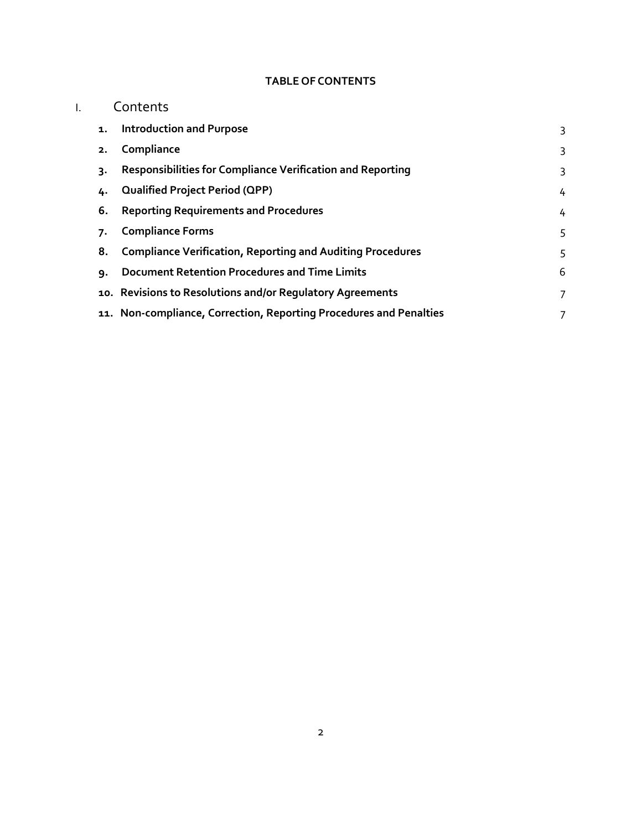# **TABLE OF CONTENTS**

|  |    | Contents                                                           |   |  |
|--|----|--------------------------------------------------------------------|---|--|
|  | 1. | <b>Introduction and Purpose</b>                                    | 3 |  |
|  | 2. | Compliance                                                         | 3 |  |
|  | 3. | Responsibilities for Compliance Verification and Reporting         | 3 |  |
|  | 4. | <b>Qualified Project Period (QPP)</b>                              | 4 |  |
|  | 6. | <b>Reporting Requirements and Procedures</b>                       | 4 |  |
|  | 7. | <b>Compliance Forms</b>                                            | 5 |  |
|  | 8. | <b>Compliance Verification, Reporting and Auditing Procedures</b>  | 5 |  |
|  | ٩. | <b>Document Retention Procedures and Time Limits</b>               | 6 |  |
|  |    | 10. Revisions to Resolutions and/or Regulatory Agreements          | 7 |  |
|  |    | 11. Non-compliance, Correction, Reporting Procedures and Penalties |   |  |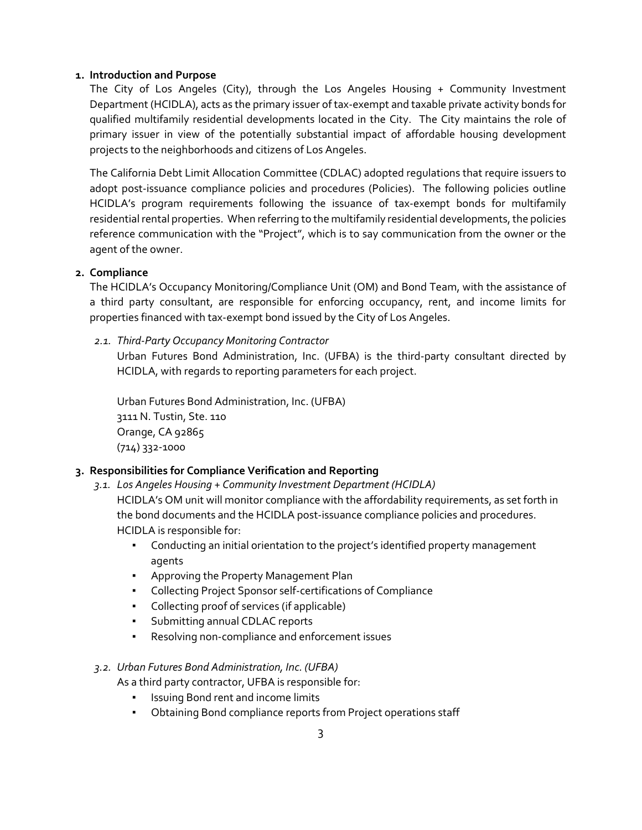# <span id="page-24-0"></span>**1. Introduction and Purpose**

The City of Los Angeles (City), through the Los Angeles Housing + Community Investment Department (HCIDLA), acts as the primary issuer of tax-exempt and taxable private activity bonds for qualified multifamily residential developments located in the City. The City maintains the role of primary issuer in view of the potentially substantial impact of affordable housing development projects to the neighborhoods and citizens of Los Angeles.

The California Debt Limit Allocation Committee (CDLAC) adopted regulations that require issuers to adopt post-issuance compliance policies and procedures (Policies). The following policies outline HCIDLA's program requirements following the issuance of tax-exempt bonds for multifamily residential rental properties. When referring to the multifamily residential developments, the policies reference communication with the "Project", which is to say communication from the owner or the agent of the owner.

# **2. Compliance**

<span id="page-24-1"></span>The HCIDLA's Occupancy Monitoring/Compliance Unit (OM) and Bond Team, with the assistance of a third party consultant, are responsible for enforcing occupancy, rent, and income limits for properties financed with tax-exempt bond issued by the City of Los Angeles.

*2.1. Third-Party Occupancy Monitoring Contractor*

Urban Futures Bond Administration, Inc. (UFBA) is the third-party consultant directed by HCIDLA, with regards to reporting parameters for each project.

<span id="page-24-2"></span>Urban Futures Bond Administration, Inc. (UFBA) 3111 N. Tustin, Ste. 110 Orange, CA 92865 (714) 332-1000

# **3. Responsibilities for Compliance Verification and Reporting**

*3.1. Los Angeles Housing + Community Investment Department (HCIDLA)*

HCIDLA's OM unit will monitor compliance with the affordability requirements, as set forth in the bond documents and the HCIDLA post-issuance compliance policies and procedures. HCIDLA is responsible for:

- Conducting an initial orientation to the project's identified property management agents
- Approving the Property Management Plan
- Collecting Project Sponsor self-certifications of Compliance
- Collecting proof of services (if applicable)
- Submitting annual CDLAC reports
- Resolving non-compliance and enforcement issues

#### *3.2. Urban Futures Bond Administration, Inc. (UFBA)*

As a third party contractor, UFBA is responsible for:

- Issuing Bond rent and income limits
- Obtaining Bond compliance reports from Project operations staff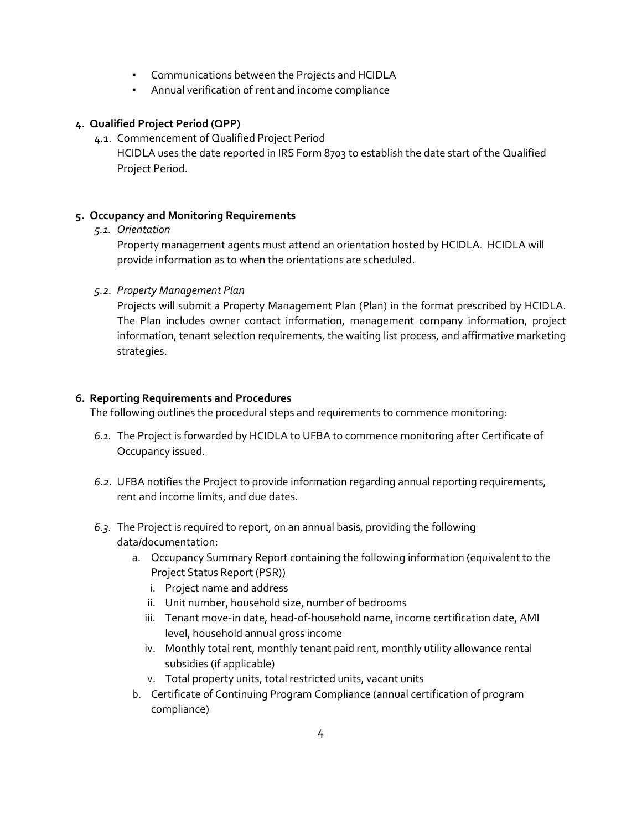- Communications between the Projects and HCIDLA
- Annual verification of rent and income compliance

# <span id="page-25-0"></span>**4. Qualified Project Period (QPP)**

4.1. Commencement of Qualified Project Period

HCIDLA uses the date reported in IRS Form 8703 to establish the date start of the Qualified Project Period.

# **5. Occupancy and Monitoring Requirements**

#### *5.1. Orientation*

Property management agents must attend an orientation hosted by HCIDLA. HCIDLA will provide information as to when the orientations are scheduled.

# *5.2. Property Management Plan*

Projects will submit a Property Management Plan (Plan) in the format prescribed by HCIDLA. The Plan includes owner contact information, management company information, project information, tenant selection requirements, the waiting list process, and affirmative marketing strategies.

# <span id="page-25-1"></span>**6. Reporting Requirements and Procedures**

The following outlines the procedural steps and requirements to commence monitoring:

- *6.1.* The Project is forwarded by HCIDLA to UFBA to commence monitoring after Certificate of Occupancy issued.
- *6.2.* UFBA notifies the Project to provide information regarding annual reporting requirements, rent and income limits, and due dates.
- *6.3.* The Project is required to report, on an annual basis, providing the following data/documentation:
	- a. Occupancy Summary Report containing the following information (equivalent to the Project Status Report (PSR))
		- i. Project name and address
		- ii. Unit number, household size, number of bedrooms
		- iii. Tenant move-in date, head-of-household name, income certification date, AMI level, household annual gross income
		- iv. Monthly total rent, monthly tenant paid rent, monthly utility allowance rental subsidies (if applicable)
		- v. Total property units, total restricted units, vacant units
	- b. Certificate of Continuing Program Compliance (annual certification of program compliance)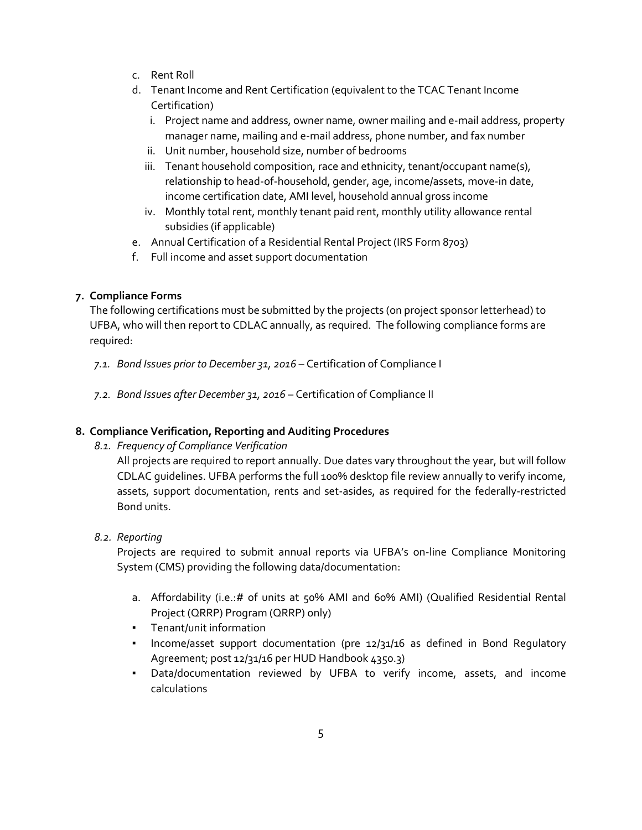- c. Rent Roll
- d. Tenant Income and Rent Certification (equivalent to the TCAC Tenant Income Certification)
	- i. Project name and address, owner name, owner mailing and e-mail address, property manager name, mailing and e-mail address, phone number, and fax number
	- ii. Unit number, household size, number of bedrooms
	- iii. Tenant household composition, race and ethnicity, tenant/occupant name(s), relationship to head-of-household, gender, age, income/assets, move-in date, income certification date, AMI level, household annual gross income
	- iv. Monthly total rent, monthly tenant paid rent, monthly utility allowance rental subsidies (if applicable)
- e. Annual Certification of a Residential Rental Project (IRS Form 8703)
- f. Full income and asset support documentation

# <span id="page-26-0"></span>**7. Compliance Forms**

The following certifications must be submitted by the projects (on project sponsor letterhead) to UFBA, who will then report to CDLAC annually, as required. The following compliance forms are required:

- *7.1. Bond Issues prior to December 31, 2016* Certification of Compliance I
- *7.2. Bond Issues after December 31, 2016* Certification of Compliance II

# <span id="page-26-1"></span>**8. Compliance Verification, Reporting and Auditing Procedures**

*8.1. Frequency of Compliance Verification* 

All projects are required to report annually. Due dates vary throughout the year, but will follow CDLAC guidelines. UFBA performs the full 100% desktop file review annually to verify income, assets, support documentation, rents and set-asides, as required for the federally-restricted Bond units.

# *8.2. Reporting*

Projects are required to submit annual reports via UFBA's on-line Compliance Monitoring System (CMS) providing the following data/documentation:

- a. Affordability (i.e.:# of units at 50% AMI and 60% AMI) (Qualified Residential Rental Project (QRRP) Program (QRRP) only)
- Tenant/unit information
- Income/asset support documentation (pre 12/31/16 as defined in Bond Regulatory Agreement; post 12/31/16 per HUD Handbook 4350.3)
- Data/documentation reviewed by UFBA to verify income, assets, and income calculations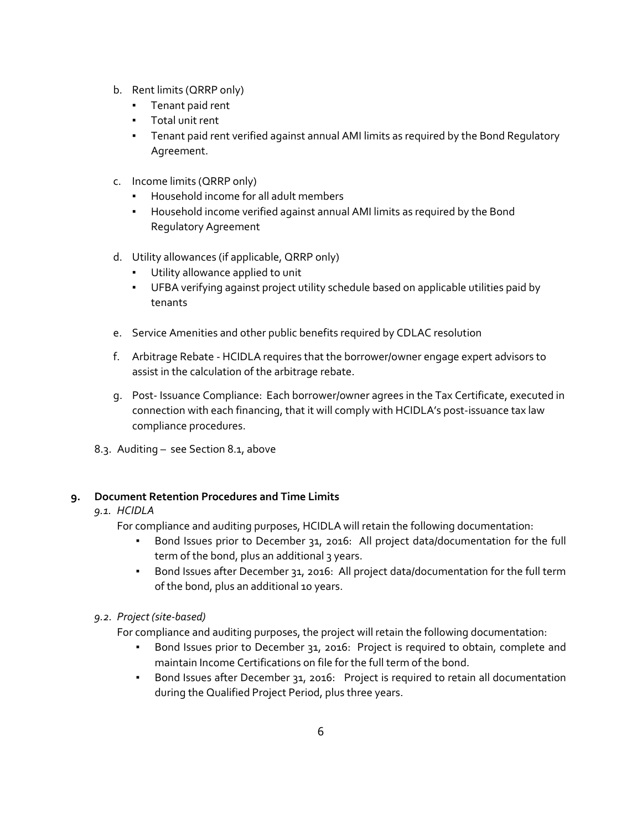- b. Rent limits (QRRP only)
	- Tenant paid rent
	- Total unit rent
	- **•** Tenant paid rent verified against annual AMI limits as required by the Bond Regulatory Agreement.
- c. Income limits (QRRP only)
	- Household income for all adult members
	- Household income verified against annual AMI limits as required by the Bond Regulatory Agreement
- d. Utility allowances (if applicable, QRRP only)
	- Utility allowance applied to unit
	- UFBA verifying against project utility schedule based on applicable utilities paid by tenants
- e. Service Amenities and other public benefits required by CDLAC resolution
- f. Arbitrage Rebate HCIDLA requires that the borrower/owner engage expert advisors to assist in the calculation of the arbitrage rebate.
- g. Post- Issuance Compliance: Each borrower/owner agrees in the Tax Certificate, executed in connection with each financing, that it will comply with HCIDLA's post-issuance tax law compliance procedures.
- 8.3. Auditing see Section 8.1, above

# <span id="page-27-0"></span>**9. Document Retention Procedures and Time Limits**

#### *9.1. HCIDLA*

For compliance and auditing purposes, HCIDLA will retain the following documentation:

- Bond Issues prior to December 31, 2016: All project data/documentation for the full term of the bond, plus an additional 3 years.
- Bond Issues after December 31, 2016: All project data/documentation for the full term of the bond, plus an additional 10 years.

#### *9.2. Project (site-based)*

- For compliance and auditing purposes, the project will retain the following documentation:
	- Bond Issues prior to December 31, 2016: Project is required to obtain, complete and maintain Income Certifications on file for the full term of the bond.
	- Bond Issues after December 31, 2016: Project is required to retain all documentation during the Qualified Project Period, plus three years.